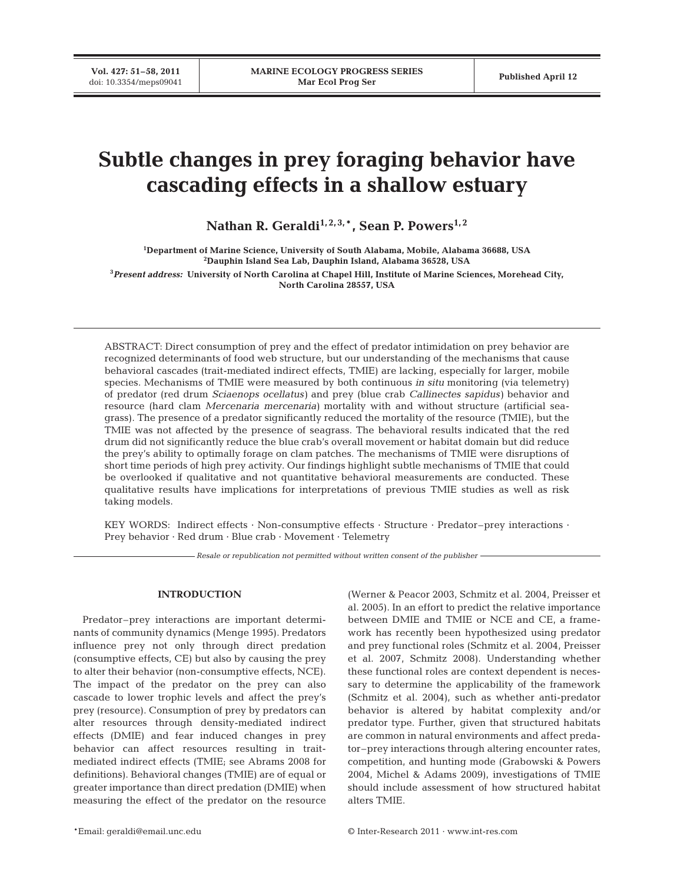**Vol. 427: 51–58, 2011**

# **Subtle changes in prey foraging behavior have cascading effects in a shallow estuary**

Nathan R. Geraldi<sup>1, 2, 3, \*</sup>, Sean P. Powers<sup>1, 2</sup>

 **Department of Marine Science, University of South Alabama, Mobile, Alabama 36688, USA Dauphin Island Sea Lab, Dauphin Island, Alabama 36528, USA** *Present address:* **University of North Carolina at Chapel Hill, Institute of Marine Sciences, Morehead City, North Carolina 28557, USA**

ABSTRACT: Direct consumption of prey and the effect of predator intimidation on prey behavior are recognized determinants of food web structure, but our understanding of the mechanisms that cause behavioral cascades (trait-mediated indirect effects, TMIE) are lacking, especially for larger, mobile species. Mechanisms of TMIE were measured by both continuous *in situ* monitoring (via telemetry) of predator (red drum *Sciaenops ocellatus)* and prey (blue crab *Callinectes sapidus)* behavior and resource (hard clam *Mercenaria mercenaria)* mortality with and without structure (artificial seagrass). The presence of a predator significantly reduced the mortality of the resource (TMIE), but the TMIE was not affected by the presence of seagrass. The behavioral results indicated that the red drum did not significantly reduce the blue crab's overall movement or habitat domain but did reduce the prey's ability to optimally forage on clam patches. The mechanisms of TMIE were disruptions of short time periods of high prey activity. Our findings highlight subtle mechanisms of TMIE that could be overlooked if qualitative and not quantitative behavioral measurements are conducted. These qualitative results have implications for interpretations of previous TMIE studies as well as risk taking models.

KEY WORDS: Indirect effects · Non-consumptive effects · Structure · Predator–prey interactions · Prey behavior · Red drum · Blue crab · Movement · Telemetry

*Resale or republication not permitted without written consent of the publisher*

## **INTRODUCTION**

Predator–prey interactions are important determinants of community dynamics (Menge 1995). Predators influence prey not only through direct predation (consumptive effects, CE) but also by causing the prey to alter their behavior (non-consumptive effects, NCE). The impact of the predator on the prey can also cascade to lower trophic levels and affect the prey's prey (resource). Consumption of prey by predators can alter resources through density-mediated indirect effects (DMIE) and fear induced changes in prey behavior can affect resources resulting in traitmediated indirect effects (TMIE; see Abrams 2008 for definitions). Behavioral changes (TMIE) are of equal or greater importance than direct predation (DMIE) when measuring the effect of the predator on the resource

(Werner & Peacor 2003, Schmitz et al. 2004, Preisser et al. 2005). In an effort to predict the relative importance between DMIE and TMIE or NCE and CE, a framework has recently been hypothesized using predator and prey functional roles (Schmitz et al. 2004, Preisser et al. 2007, Schmitz 2008). Understanding whether these functional roles are context dependent is necessary to determine the applicability of the framework (Schmitz et al. 2004), such as whether anti-predator behavior is altered by habitat complexity and/or predator type. Further, given that structured habitats are common in natural environments and affect predator–prey interactions through altering encounter rates, competition, and hunting mode (Grabowski & Powers 2004, Michel & Adams 2009), investigations of TMIE should include assessment of how structured habitat alters TMIE.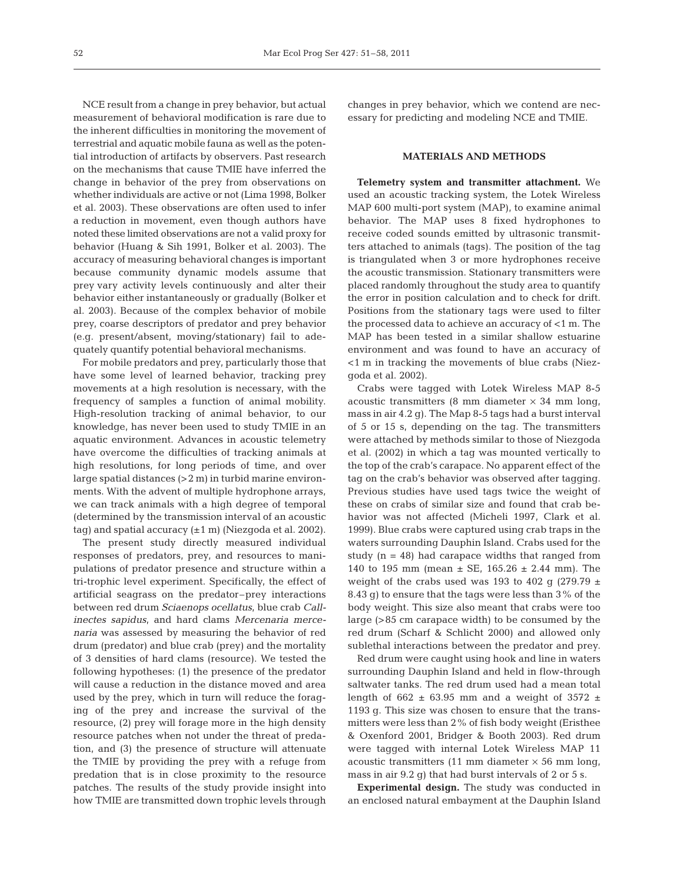NCE result from a change in prey behavior, but actual measurement of behavioral modification is rare due to the inherent difficulties in monitoring the movement of terrestrial and aquatic mobile fauna as well as the potential introduction of artifacts by observers. Past research on the mechanisms that cause TMIE have inferred the change in behavior of the prey from observations on whether individuals are active or not (Lima 1998, Bolker et al. 2003). These observations are often used to infer a reduction in movement, even though authors have noted these limited observations are not a valid proxy for behavior (Huang & Sih 1991, Bolker et al. 2003). The accuracy of measuring behavioral changes is important because community dynamic models assume that prey vary activity levels continuously and alter their behavior either instantaneously or gradually (Bolker et al. 2003). Because of the complex behavior of mobile prey, coarse descriptors of predator and prey behavior (e.g. present/ absent, moving/stationary) fail to adequately quantify potential behavioral mechanisms.

For mobile predators and prey, particularly those that have some level of learned behavior, tracking prey movements at a high resolution is necessary, with the frequency of samples a function of animal mobility. High-resolution tracking of animal behavior, to our knowledge, has never been used to study TMIE in an aquatic environment. Advances in acoustic telemetry have overcome the difficulties of tracking animals at high resolutions, for long periods of time, and over large spatial distances (>2 m) in turbid marine environments. With the advent of multiple hydrophone arrays, we can track animals with a high degree of temporal (determined by the transmission interval of an acoustic tag) and spatial accuracy  $(\pm 1 \text{ m})$  (Niezgoda et al. 2002).

The present study directly measured individual responses of predators, prey, and resources to manipulations of predator presence and structure within a tri-trophic level experiment. Specifically, the effect of artificial seagrass on the predator–prey interactions between red drum *Sciaenops ocellatus*, blue crab *Callinectes sapidus*, and hard clams *Mercenaria mercenaria* was assessed by measuring the behavior of red drum (predator) and blue crab (prey) and the mortality of 3 densities of hard clams (resource). We tested the following hypotheses: (1) the presence of the predator will cause a reduction in the distance moved and area used by the prey, which in turn will reduce the foraging of the prey and increase the survival of the resource, (2) prey will forage more in the high density resource patches when not under the threat of predation, and (3) the presence of structure will attenuate the TMIE by providing the prey with a refuge from predation that is in close proximity to the resource patches. The results of the study provide insight into how TMIE are transmitted down trophic levels through

changes in prey behavior, which we contend are necessary for predicting and modeling NCE and TMIE.

### **MATERIALS AND METHODS**

**Telemetry system and transmitter attachment.** We used an acoustic tracking system, the Lotek Wireless MAP 600 multi-port system (MAP), to examine animal behavior. The MAP uses 8 fixed hydrophones to receive coded sounds emitted by ultrasonic transmitters attached to animals (tags). The position of the tag is triangulated when 3 or more hydrophones receive the acoustic transmission. Stationary transmitters were placed randomly throughout the study area to quantify the error in position calculation and to check for drift. Positions from the stationary tags were used to filter the processed data to achieve an accuracy of <1 m. The MAP has been tested in a similar shallow estuarine environment and was found to have an accuracy of <1 m in tracking the movements of blue crabs (Niezgoda et al. 2002).

Crabs were tagged with Lotek Wireless MAP 8-5 acoustic transmitters (8 mm diameter  $\times$  34 mm long, mass in air 4.2 g). The Map 8-5 tags had a burst interval of 5 or 15 s, depending on the tag. The transmitters were attached by methods similar to those of Niezgoda et al. (2002) in which a tag was mounted vertically to the top of the crab's carapace. No apparent effect of the tag on the crab's behavior was observed after tagging. Previous studies have used tags twice the weight of these on crabs of similar size and found that crab behavior was not affected (Micheli 1997, Clark et al. 1999). Blue crabs were captured using crab traps in the waters surrounding Dauphin Island. Crabs used for the study  $(n = 48)$  had carapace widths that ranged from 140 to 195 mm (mean  $\pm$  SE, 165.26  $\pm$  2.44 mm). The weight of the crabs used was 193 to 402 g (279.79  $\pm$ 8.43 g) to ensure that the tags were less than 3% of the body weight. This size also meant that crabs were too large (>85 cm carapace width) to be consumed by the red drum (Scharf & Schlicht 2000) and allowed only sublethal interactions between the predator and prey.

Red drum were caught using hook and line in waters surrounding Dauphin Island and held in flow-through saltwater tanks. The red drum used had a mean total length of 662  $\pm$  63.95 mm and a weight of 3572  $\pm$ 1193 g. This size was chosen to ensure that the transmitters were less than 2% of fish body weight (Eristhee & Oxenford 2001, Bridger & Booth 2003). Red drum were tagged with internal Lotek Wireless MAP 11 acoustic transmitters  $(11 \text{ mm diameter} \times 56 \text{ mm long})$ mass in air 9.2 g) that had burst intervals of 2 or 5 s.

**Experimental design.** The study was conducted in an enclosed natural embayment at the Dauphin Island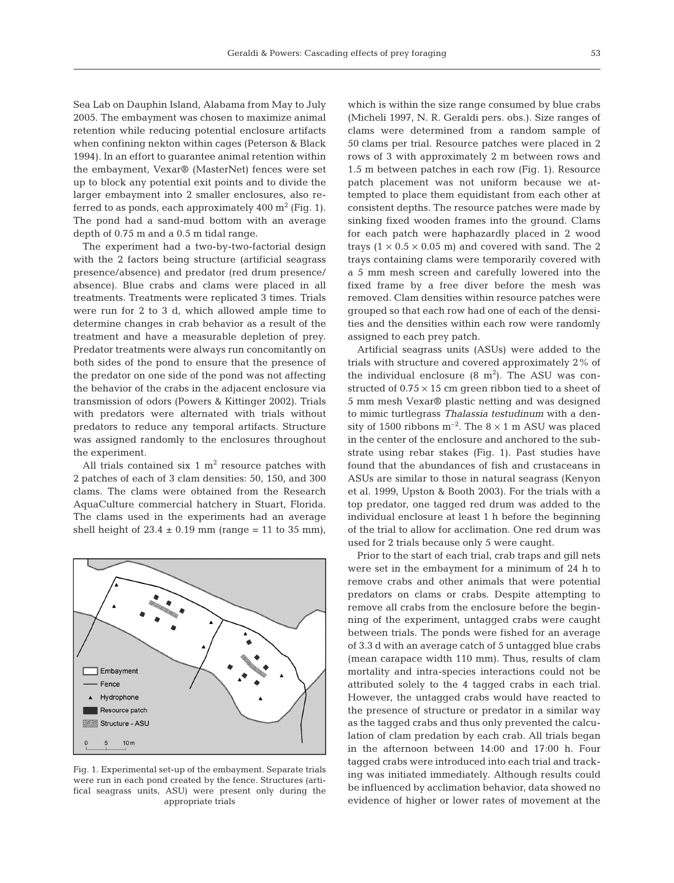Sea Lab on Dauphin Island, Alabama from May to July 2005. The embayment was chosen to maximize animal retention while reducing potential enclosure artifacts when confining nekton within cages (Peterson & Black 1994). In an effort to guarantee animal retention within the embayment, Vexar® (MasterNet) fences were set up to block any potential exit points and to divide the larger embayment into 2 smaller enclosures, also re ferred to as ponds, each approximately  $400 \text{ m}^2$  (Fig. 1). The pond had a sand-mud bottom with an average depth of 0.75 m and a 0.5 m tidal range.

The experiment had a two-by-two-factorial design with the 2 factors being structure (artificial seagrass presence/absence) and predator (red drum presence/ absence). Blue crabs and clams were placed in all treatments. Treatments were replicated 3 times. Trials were run for 2 to 3 d, which allowed ample time to determine changes in crab behavior as a result of the treatment and have a measurable depletion of prey. Predator treatments were always run concomitantly on both sides of the pond to ensure that the presence of the predator on one side of the pond was not affecting the behavior of the crabs in the adjacent enclosure via transmission of odors (Powers & Kittinger 2002). Trials with predators were alternated with trials without predators to reduce any temporal artifacts. Structure was assigned randomly to the enclosures throughout the experiment.

All trials contained six 1  $m<sup>2</sup>$  resource patches with 2 patches of each of 3 clam densities: 50, 150, and 300 clams. The clams were obtained from the Research AquaCulture commercial hatchery in Stuart, Florida. The clams used in the experiments had an average shell height of  $23.4 \pm 0.19$  mm (range = 11 to 35 mm),



Fig. 1. Experimental set-up of the embayment. Separate trials were run in each pond created by the fence. Structures (artifical seagrass units, ASU) were present only during the appropriate trials

which is within the size range consumed by blue crabs (Micheli 1997, N. R. Geraldi pers. obs.). Size ranges of clams were determined from a random sample of 50 clams per trial. Resource patches were placed in 2 rows of 3 with approximately 2 m between rows and 1.5 m between patches in each row (Fig. 1). Resource patch placement was not uniform because we attempted to place them equidistant from each other at consistent depths. The resource patches were made by sinking fixed wooden frames into the ground. Clams for each patch were haphazardly placed in 2 wood trays  $(1 \times 0.5 \times 0.05 \text{ m})$  and covered with sand. The 2 trays containing clams were temporarily covered with a 5 mm mesh screen and carefully lowered into the fixed frame by a free diver before the mesh was removed. Clam densities within resource patches were grouped so that each row had one of each of the densities and the densities within each row were randomly assigned to each prey patch.

Artificial seagrass units (ASUs) were added to the trials with structure and covered approximately 2% of the individual enclosure  $(8 \text{ m}^2)$ . The ASU was constructed of  $0.75 \times 15$  cm green ribbon tied to a sheet of 5 mm mesh Vexar® plastic netting and was designed to mimic turtlegrass *Thalassia testudinum* with a density of 1500 ribbons  $m^{-2}$ . The  $8 \times 1$  m ASU was placed in the center of the enclosure and anchored to the substrate using rebar stakes (Fig. 1). Past studies have found that the abundances of fish and crustaceans in ASUs are similar to those in natural seagrass (Kenyon et al. 1999, Upston & Booth 2003). For the trials with a top predator, one tagged red drum was added to the individual enclosure at least 1 h before the beginning of the trial to allow for acclimation. One red drum was used for 2 trials because only 5 were caught.

Prior to the start of each trial, crab traps and gill nets were set in the embayment for a minimum of 24 h to remove crabs and other animals that were potential predators on clams or crabs. Despite attempting to remove all crabs from the enclosure before the beginning of the experiment, untagged crabs were caught between trials. The ponds were fished for an average of 3.3 d with an average catch of 5 untagged blue crabs (mean carapace width 110 mm). Thus, results of clam mortality and intra-species interactions could not be attributed solely to the 4 tagged crabs in each trial. However, the untagged crabs would have reacted to the presence of structure or predator in a similar way as the tagged crabs and thus only prevented the calculation of clam predation by each crab. All trials began in the afternoon between 14:00 and 17:00 h. Four tagged crabs were introduced into each trial and tracking was initiated immediately. Although results could be influenced by acclimation behavior, data showed no evidence of higher or lower rates of movement at the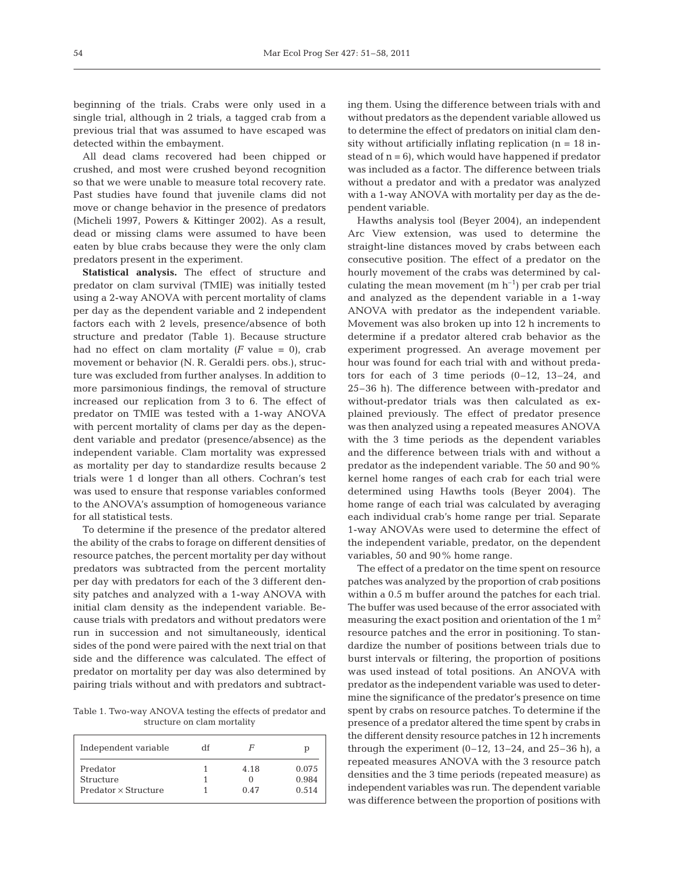beginning of the trials. Crabs were only used in a single trial, although in 2 trials, a tagged crab from a previous trial that was assumed to have escaped was detected within the embayment.

All dead clams recovered had been chipped or crushed, and most were crushed beyond recognition so that we were unable to measure total recovery rate. Past studies have found that juvenile clams did not move or change behavior in the presence of predators (Micheli 1997, Powers & Kittinger 2002). As a result, dead or missing clams were assumed to have been eaten by blue crabs because they were the only clam predators present in the experiment.

**Statistical analysis.** The effect of structure and predator on clam survival (TMIE) was initially tested using a 2-way ANOVA with percent mortality of clams per day as the dependent variable and 2 independent factors each with 2 levels, presence/absence of both structure and predator (Table 1). Because structure had no effect on clam mortality  $(F \text{ value} = 0)$ , crab movement or behavior (N. R. Geraldi pers. obs.), structure was excluded from further analyses. In addition to more parsimonious findings, the removal of structure increased our replication from 3 to 6. The effect of predator on TMIE was tested with a 1-way ANOVA with percent mortality of clams per day as the dependent variable and predator (presence/absence) as the independent variable. Clam mortality was expressed as mortality per day to standardize results because 2 trials were 1 d longer than all others. Cochran's test was used to ensure that response variables conformed to the ANOVA's assumption of homogeneous variance for all statistical tests.

To determine if the presence of the predator altered the ability of the crabs to forage on different densities of resource patches, the percent mortality per day without predators was subtracted from the percent mortality per day with predators for each of the 3 different density patches and analyzed with a 1-way ANOVA with initial clam density as the independent variable. Because trials with predators and without predators were run in succession and not simultaneously, identical sides of the pond were paired with the next trial on that side and the difference was calculated. The effect of predator on mortality per day was also determined by pairing trials without and with predators and subtract-

Table 1. Two-way ANOVA testing the effects of predator and structure on clam mortality

| Independent variable        | df | F        | р     |
|-----------------------------|----|----------|-------|
| Predator                    |    | 4.18     | 0.075 |
| Structure                   |    | $\lceil$ | 0.984 |
| $Predator \times Structure$ |    | 0.47     | 0.514 |

ing them. Using the difference between trials with and without predators as the dependent variable allowed us to determine the effect of predators on initial clam density without artificially inflating replication ( $n = 18$  instead of  $n = 6$ ), which would have happened if predator was included as a factor. The difference between trials without a predator and with a predator was analyzed with a 1-way ANOVA with mortality per day as the dependent variable.

Hawths analysis tool (Beyer 2004), an independent Arc View extension, was used to determine the straight-line distances moved by crabs between each consecutive position. The effect of a predator on the hourly movement of the crabs was determined by calculating the mean movement  $(m h<sup>-1</sup>)$  per crab per trial and analyzed as the dependent variable in a 1-way ANOVA with predator as the independent variable. Movement was also broken up into 12 h increments to determine if a predator altered crab behavior as the experiment progressed. An average movement per hour was found for each trial with and without predators for each of 3 time periods  $(0-12, 13-24,$  and 25–36 h). The difference between with-predator and without-predator trials was then calculated as explained previously. The effect of predator presence was then analyzed using a repeated measures ANOVA with the 3 time periods as the dependent variables and the difference between trials with and without a predator as the independent variable. The 50 and 90% kernel home ranges of each crab for each trial were determined using Hawths tools (Beyer 2004). The home range of each trial was calculated by averaging each individual crab's home range per trial. Separate 1-way ANOVAs were used to determine the effect of the independent variable, predator, on the dependent variables, 50 and 90% home range.

The effect of a predator on the time spent on resource patches was analyzed by the proportion of crab positions within a 0.5 m buffer around the patches for each trial. The buffer was used because of the error associated with measuring the exact position and orientation of the  $1 \text{ m}^2$ resource patches and the error in positioning. To standardize the number of positions between trials due to burst intervals or filtering, the proportion of positions was used instead of total positions. An ANOVA with predator as the independent variable was used to determine the significance of the predator's presence on time spent by crabs on resource patches. To determine if the presence of a predator altered the time spent by crabs in the different density resource patches in 12 h increments through the experiment  $(0-12, 13-24,$  and  $25-36$  h), a repeated measures ANOVA with the 3 resource patch densities and the 3 time periods (repeated measure) as independent variables was run. The dependent variable was difference between the proportion of positions with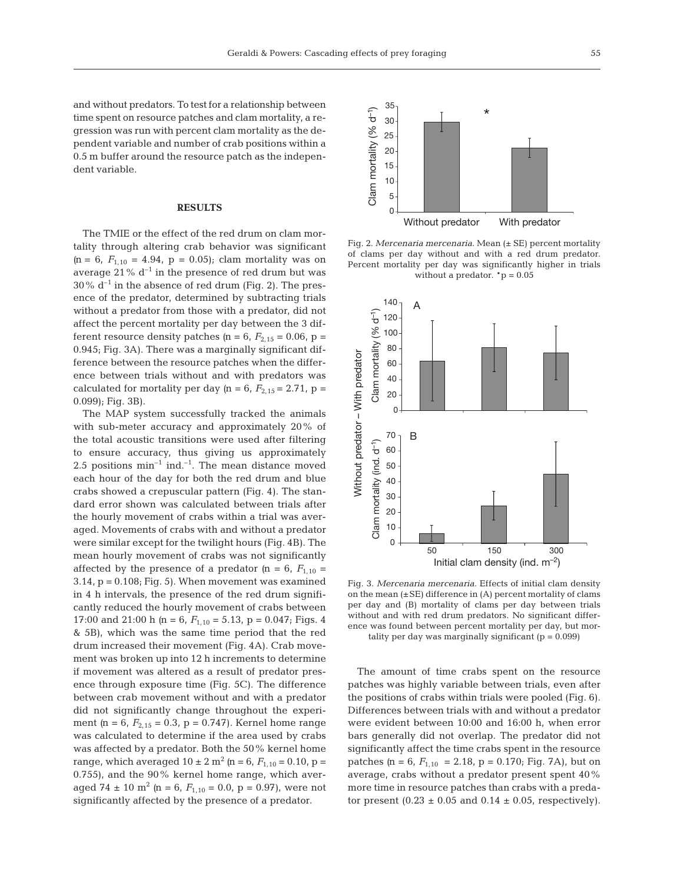and without predators. To test for a relationship between time spent on resource patches and clam mortality, a regression was run with percent clam mortality as the dependent variable and number of crab positions within a 0.5 m buffer around the resource patch as the independent variable.

### **RESULTS**

The TMIE or the effect of the red drum on clam mortality through altering crab behavior was significant  $(p = 6, F_{1,10} = 4.94, p = 0.05)$ ; clam mortality was on average  $21\%$  d<sup>-1</sup> in the presence of red drum but was  $30\%$  d<sup>-1</sup> in the absence of red drum (Fig. 2). The presence of the predator, determined by subtracting trials without a predator from those with a predator, did not affect the percent mortality per day between the 3 different resource density patches  $(p = 6, F_{2,15} = 0.06, p =$ 0.945; Fig. 3A). There was a marginally significant difference between the resource patches when the difference between trials without and with predators was calculated for mortality per day  $(p = 6, F_{2,15} = 2.71, p =$ 0.099); Fig. 3B).

The MAP system successfully tracked the animals with sub-meter accuracy and approximately 20% of the total acoustic transitions were used after filtering to ensure accuracy, thus giving us approximately 2.5 positions  $min^{-1}$  ind.<sup>-1</sup>. The mean distance moved each hour of the day for both the red drum and blue crabs showed a crepuscular pattern (Fig. 4). The standard error shown was calculated between trials after the hourly movement of crabs within a trial was averaged. Movements of crabs with and without a predator were similar except for the twilight hours (Fig. 4B). The mean hourly movement of crabs was not significantly affected by the presence of a predator  $(p = 6, F_{1,10})$  $3.14$ ,  $p = 0.108$ ; Fig. 5). When movement was examined in 4 h intervals, the presence of the red drum significantly reduced the hourly movement of crabs between 17:00 and 21:00 h ( $n = 6$ ,  $F_{1,10} = 5.13$ ,  $p = 0.047$ ; Figs. 4 & 5B), which was the same time period that the red drum increased their movement (Fig. 4A). Crab movement was broken up into 12 h increments to determine if movement was altered as a result of predator presence through exposure time (Fig. 5C). The difference between crab movement without and with a predator did not significantly change throughout the experiment  $(p = 6, F_{2,15} = 0.3, p = 0.747)$ . Kernel home range was calculated to determine if the area used by crabs was affected by a predator. Both the 50% kernel home range, which averaged  $10 \pm 2$  m<sup>2</sup> (n = 6,  $F_{1,10}$  = 0.10, p = 0.755), and the 90% kernel home range, which averaged 74  $\pm$  10 m<sup>2</sup> (n = 6,  $F_{1,10}$  = 0.0, p = 0.97), were not significantly affected by the presence of a predator.



Fig. 2. *Mercenaria mercenaria.* Mean (± SE) percent mortality of clams per day without and with a red drum predator. Percent mortality per day was significantly higher in trials without a predator.  ${}^{\ast}p = 0.05$ 



Fig. 3. *Mercenaria mercenaria.* Effects of initial clam density on the mean  $(\pm SE)$  difference in  $(A)$  percent mortality of clams per day and (B) mortality of clams per day between trials without and with red drum predators. No significant difference was found between percent mortality per day, but mortality per day was marginally significant  $(p = 0.099)$ 

The amount of time crabs spent on the resource patches was highly variable between trials, even after the positions of crabs within trials were pooled (Fig. 6). Differences between trials with and without a predator were evident between 10:00 and 16:00 h, when error bars generally did not overlap. The predator did not significantly affect the time crabs spent in the resource patches  $(p = 6, F_{1,10} = 2.18, p = 0.170$ ; Fig. 7A), but on average, crabs without a predator present spent 40% more time in resource patches than crabs with a predator present  $(0.23 \pm 0.05$  and  $0.14 \pm 0.05$ , respectively).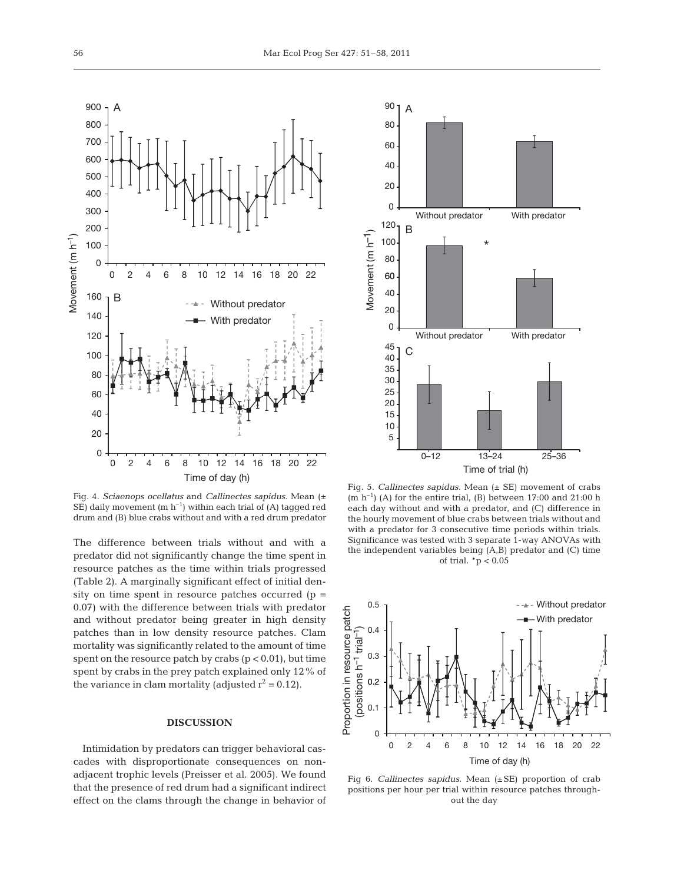

Fig. 4. *Sciaenops ocellatus* and *Callinectes sapidus.* Mean (± SE) daily movement  $(m h^{-1})$  within each trial of (A) tagged red drum and (B) blue crabs without and with a red drum predator

The difference between trials without and with a predator did not significantly change the time spent in resource patches as the time within trials progressed (Table 2). A marginally significant effect of initial density on time spent in resource patches occurred  $(p =$ 0.07) with the difference between trials with predator and without predator being greater in high density patches than in low density resource patches. Clam mortality was significantly related to the amount of time spent on the resource patch by crabs  $(p < 0.01)$ , but time spent by crabs in the prey patch explained only 12% of the variance in clam mortality (adjusted  $r^2 = 0.12$ ).

#### **DISCUSSION**

Intimidation by predators can trigger behavioral cascades with disproportionate consequences on nonadjacent trophic levels (Preisser et al. 2005). We found that the presence of red drum had a significant indirect effect on the clams through the change in behavior of



Fig. 5. *Callinectes sapidus.* Mean (± SE) movement of crabs  $(m h^{-1})$  (A) for the entire trial, (B) between 17:00 and 21:00 h each day without and with a predator, and (C) difference in the hourly movement of blue crabs between trials without and with a predator for 3 consecutive time periods within trials. Significance was tested with 3 separate 1-way ANOVAs with the independent variables being (A,B) predator and (C) time of trial. \*p < 0.05



Fig 6. *Callinectes sapidus.* Mean (±SE) proportion of crab positions per hour per trial within resource patches throughout the day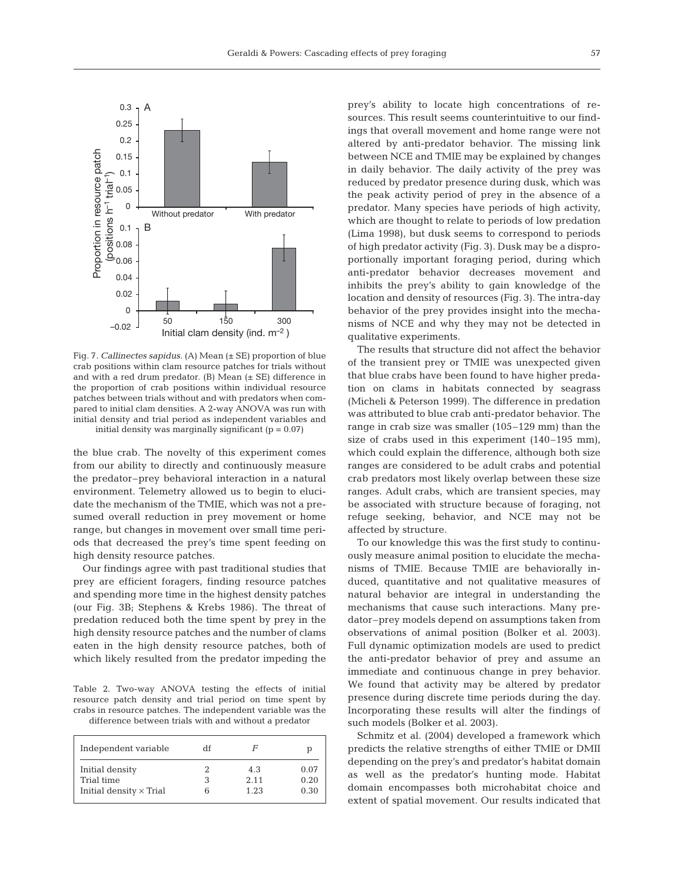

Fig. 7. *Callinectes sapidus.* (A) Mean (± SE) proportion of blue crab positions within clam resource patches for trials without and with a red drum predator.  $(B)$  Mean  $(\pm S E)$  difference in the proportion of crab positions within individual resource patches between trials without and with predators when compared to initial clam densities. A 2-way ANOVA was run with initial density and trial period as independent variables and initial density was marginally significant  $(p = 0.07)$ 

the blue crab. The novelty of this experiment comes from our ability to directly and continuously measure the predator–prey behavioral interaction in a natural environment. Telemetry allowed us to begin to elucidate the mechanism of the TMIE, which was not a presumed overall reduction in prey movement or home range, but changes in movement over small time periods that decreased the prey's time spent feeding on high density resource patches.

Our findings agree with past traditional studies that prey are efficient foragers, finding resource patches and spending more time in the highest density patches (our Fig. 3B; Stephens & Krebs 1986). The threat of predation reduced both the time spent by prey in the high density resource patches and the number of clams eaten in the high density resource patches, both of which likely resulted from the predator impeding the

Table 2. Two-way ANOVA testing the effects of initial resource patch density and trial period on time spent by crabs in resource patches. The independent variable was the difference between trials with and without a predator

| Independent variable           | df | F    | р    |
|--------------------------------|----|------|------|
| Initial density                |    | 4.3  | 0.07 |
| Trial time                     |    | 2.11 | 0.20 |
| Initial density $\times$ Trial |    | 1.23 | 0.30 |

prey's ability to locate high concentrations of resources. This result seems counterintuitive to our findings that overall movement and home range were not altered by anti-predator behavior. The missing link between NCE and TMIE may be explained by changes in daily behavior. The daily activity of the prey was reduced by predator presence during dusk, which was the peak activity period of prey in the absence of a predator. Many species have periods of high activity, which are thought to relate to periods of low predation (Lima 1998), but dusk seems to correspond to periods of high predator activity (Fig. 3). Dusk may be a disproportionally important foraging period, during which anti-predator behavior decreases movement and inhibits the prey's ability to gain knowledge of the location and density of resources (Fig. 3). The intra-day behavior of the prey provides insight into the mechanisms of NCE and why they may not be detected in qualitative experiments.

The results that structure did not affect the behavior of the transient prey or TMIE was unexpected given that blue crabs have been found to have higher predation on clams in habitats connected by seagrass (Micheli & Peterson 1999). The difference in predation was attributed to blue crab anti-predator behavior. The range in crab size was smaller (105–129 mm) than the size of crabs used in this experiment (140–195 mm), which could explain the difference, although both size ranges are considered to be adult crabs and potential crab predators most likely overlap between these size ranges. Adult crabs, which are transient species, may be associated with structure because of foraging, not refuge seeking, behavior, and NCE may not be affected by structure.

To our knowledge this was the first study to continuously measure animal position to elucidate the mechanisms of TMIE. Because TMIE are behaviorally induced, quantitative and not qualitative measures of natural behavior are integral in understanding the mechanisms that cause such interactions. Many predator–prey models depend on assumptions taken from observations of animal position (Bolker et al. 2003). Full dynamic optimization models are used to predict the anti-predator behavior of prey and assume an immediate and continuous change in prey behavior. We found that activity may be altered by predator presence during discrete time periods during the day. Incorporating these results will alter the findings of such models (Bolker et al. 2003).

Schmitz et al. (2004) developed a framework which predicts the relative strengths of either TMIE or DMII depending on the prey's and predator's habitat domain as well as the predator's hunting mode. Habitat domain encompasses both microhabitat choice and extent of spatial movement. Our results indicated that